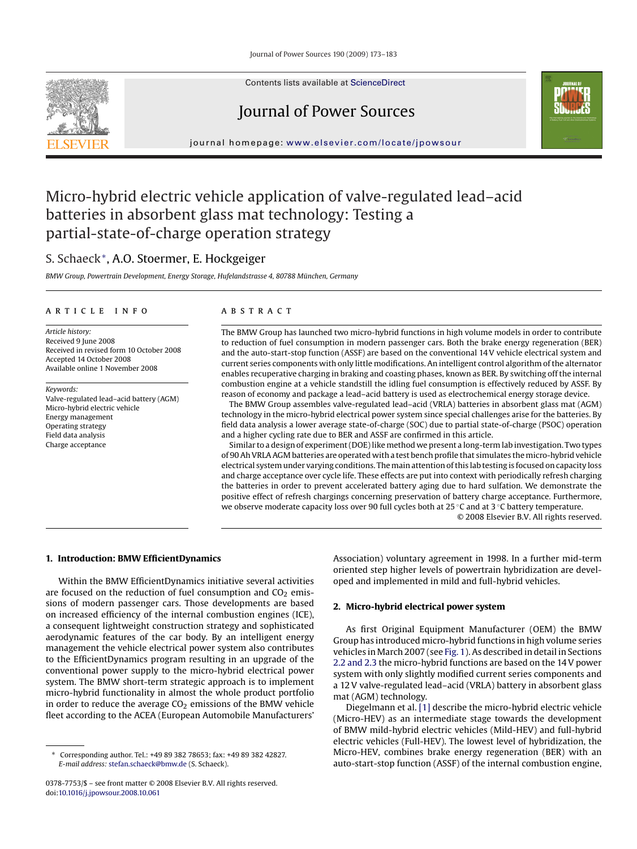Contents lists available at [ScienceDirect](http://www.sciencedirect.com/science/journal/03787753)

## Journal of Power Sources

journal homepage: [www.elsevier.com/locate/jpowsour](http://www.elsevier.com/locate/jpowsour)

## Micro-hybrid electric vehicle application of valve-regulated lead–acid batteries in absorbent glass mat technology: Testing a partial-state-of-charge operation strategy

### S. Schaeck∗, A.O. Stoermer, E. Hockgeiger

*BMW Group, Powertrain Development, Energy Storage, Hufelandstrasse 4, 80788 München, Germany*

#### article info

*Article history:* Received 9 June 2008 Received in revised form 10 October 2008 Accepted 14 October 2008 Available online 1 November 2008

*Keywords:* Valve-regulated lead–acid battery (AGM) Micro-hybrid electric vehicle Energy management Operating strategy Field data analysis Charge acceptance

#### ABSTRACT

The BMW Group has launched two micro-hybrid functions in high volume models in order to contribute to reduction of fuel consumption in modern passenger cars. Both the brake energy regeneration (BER) and the auto-start-stop function (ASSF) are based on the conventional 14 V vehicle electrical system and current series components with only little modifications. An intelligent control algorithm of the alternator enables recuperative charging in braking and coasting phases, known as BER. By switching off the internal combustion engine at a vehicle standstill the idling fuel consumption is effectively reduced by ASSF. By reason of economy and package a lead–acid battery is used as electrochemical energy storage device.

The BMW Group assembles valve-regulated lead–acid (VRLA) batteries in absorbent glass mat (AGM) technology in the micro-hybrid electrical power system since special challenges arise for the batteries. By field data analysis a lower average state-of-charge (SOC) due to partial state-of-charge (PSOC) operation and a higher cycling rate due to BER and ASSF are confirmed in this article.

Similar to a design of experiment (DOE) like method we present a long-term lab investigation. Two types of 90 Ah VRLA AGM batteries are operated with a test bench profile that simulates the micro-hybrid vehicle electrical system under varying conditions. The main attention of this lab testing is focused on capacity loss and charge acceptance over cycle life. These effects are put into context with periodically refresh charging the batteries in order to prevent accelerated battery aging due to hard sulfation. We demonstrate the positive effect of refresh chargings concerning preservation of battery charge acceptance. Furthermore, we observe moderate capacity loss over 90 full cycles both at 25 °C and at 3 °C battery temperature.

© 2008 Elsevier B.V. All rights reserved.

#### **1. Introduction: BMW EfficientDynamics**

Within the BMW EfficientDynamics initiative several activities are focused on the reduction of fuel consumption and  $CO<sub>2</sub>$  emissions of modern passenger cars. Those developments are based on increased efficiency of the internal combustion engines (ICE), a consequent lightweight construction strategy and sophisticated aerodynamic features of the car body. By an intelligent energy management the vehicle electrical power system also contributes to the EfficientDynamics program resulting in an upgrade of the conventional power supply to the micro-hybrid electrical power system. The BMW short-term strategic approach is to implement micro-hybrid functionality in almost the whole product portfolio in order to reduce the average  $CO<sub>2</sub>$  emissions of the BMW vehicle fleet according to the ACEA (European Automobile Manufacturers'

Association) voluntary agreement in 1998. In a further mid-term oriented step higher levels of powertrain hybridization are developed and implemented in mild and full-hybrid vehicles.

#### **2. Micro-hybrid electrical power system**

As first Original Equipment Manufacturer (OEM) the BMW Group has introduced micro-hybrid functions in high volume series vehicles in March 2007 (see [Fig. 1\).](#page-1-0) As described in detail in Sections [2.2 and 2.3](#page-1-0) the micro-hybrid functions are based on the 14 V power system with only slightly modified current series components and a 12 V valve-regulated lead–acid (VRLA) battery in absorbent glass mat (AGM) technology.

Diegelmann et al. [\[1\]](#page--1-0) describe the micro-hybrid electric vehicle (Micro-HEV) as an intermediate stage towards the development of BMW mild-hybrid electric vehicles (Mild-HEV) and full-hybrid electric vehicles (Full-HEV). The lowest level of hybridization, the Micro-HEV, combines brake energy regeneration (BER) with an auto-start-stop function (ASSF) of the internal combustion engine,





<sup>∗</sup> Corresponding author. Tel.: +49 89 382 78653; fax: +49 89 382 42827. *E-mail address:* [stefan.schaeck@bmw.de](mailto:stefan.schaeck@bmw.de) (S. Schaeck).

<sup>0378-7753/\$ –</sup> see front matter © 2008 Elsevier B.V. All rights reserved. doi:[10.1016/j.jpowsour.2008.10.061](dx.doi.org/10.1016/j.jpowsour.2008.10.061)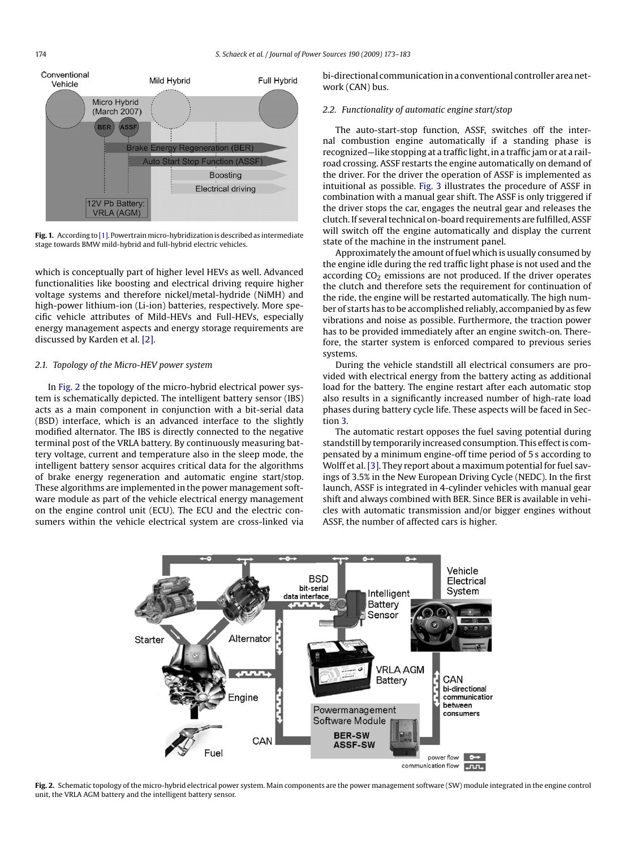<span id="page-1-0"></span>

**Fig. 1.** According to [\[1\]. P](#page--1-0)owertrainmicro-hybridization is described as intermediate stage towards BMW mild-hybrid and full-hybrid electric vehicles.

which is conceptually part of higher level HEVs as well. Advanced functionalities like boosting and electrical driving require higher voltage systems and therefore nickel/metal-hydride (NiMH) and high-power lithium-ion (Li-ion) batteries, respectively. More specific vehicle attributes of Mild-HEVs and Full-HEVs, especially energy management aspects and energy storage requirements are discussed by Karden et al. [\[2\].](#page--1-0)

#### *2.1. Topology of the Micro-HEV power system*

In Fig. 2 the topology of the micro-hybrid electrical power system is schematically depicted. The intelligent battery sensor (IBS) acts as a main component in conjunction with a bit-serial data (BSD) interface, which is an advanced interface to the slightly modified alternator. The IBS is directly connected to the negative terminal post of the VRLA battery. By continuously measuring battery voltage, current and temperature also in the sleep mode, the intelligent battery sensor acquires critical data for the algorithms of brake energy regeneration and automatic engine start/stop. These algorithms are implemented in the power management software module as part of the vehicle electrical energy management on the engine control unit (ECU). The ECU and the electric consumers within the vehicle electrical system are cross-linked via bi-directional communication in a conventional controller area network (CAN) bus.

#### *2.2. Functionality of automatic engine start/stop*

The auto-start-stop function, ASSF, switches off the internal combustion engine automatically if a standing phase is recognized—like stopping at a traffic light, in a traffic jam or at a railroad crossing. ASSF restarts the engine automatically on demand of the driver. For the driver the operation of ASSF is implemented as intuitional as possible. [Fig. 3](#page--1-0) illustrates the procedure of ASSF in combination with a manual gear shift. The ASSF is only triggered if the driver stops the car, engages the neutral gear and releases the clutch. If several technical on-board requirements are fulfilled, ASSF will switch off the engine automatically and display the current state of the machine in the instrument panel.

Approximately the amount of fuel which is usually consumed by the engine idle during the red traffic light phase is not used and the according  $CO<sub>2</sub>$  emissions are not produced. If the driver operates the clutch and therefore sets the requirement for continuation of the ride, the engine will be restarted automatically. The high number of starts has to be accomplished reliably, accompanied by as few vibrations and noise as possible. Furthermore, the traction power has to be provided immediately after an engine switch-on. Therefore, the starter system is enforced compared to previous series systems.

During the vehicle standstill all electrical consumers are provided with electrical energy from the battery acting as additional load for the battery. The engine restart after each automatic stop also results in a significantly increased number of high-rate load phases during battery cycle life. These aspects will be faced in Section [3.](#page--1-0)

The automatic restart opposes the fuel saving potential during standstill by temporarily increased consumption. This effect is compensated by a minimum engine-off time period of 5 s according to Wolff et al. [\[3\]. T](#page--1-0)hey report about a maximum potential for fuel savings of 3.5% in the New European Driving Cycle (NEDC). In the first launch, ASSF is integrated in 4-cylinder vehicles with manual gear shift and always combined with BER. Since BER is available in vehicles with automatic transmission and/or bigger engines without ASSF, the number of affected cars is higher.



**Fig. 2.** Schematic topology of the micro-hybrid electrical power system. Main components are the power management software (SW) module integrated in the engine control unit, the VRLA AGM battery and the intelligent battery sensor.